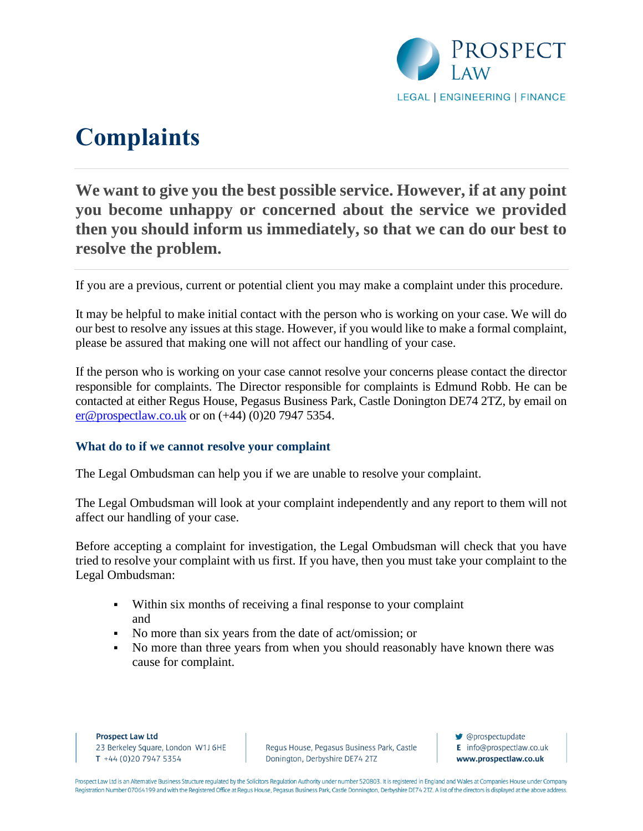

# **Complaints**

# **We want to give you the best possible service. However, if at any point you become unhappy or concerned about the service we provided then you should inform us immediately, so that we can do our best to resolve the problem.**

If you are a previous, current or potential client you may make a complaint under this procedure.

It may be helpful to make initial contact with the person who is working on your case. We will do our best to resolve any issues at this stage. However, if you would like to make a formal complaint, please be assured that making one will not affect our handling of your case.

If the person who is working on your case cannot resolve your concerns please contact the director responsible for complaints. The Director responsible for complaints is Edmund Robb. He can be contacted at either Regus House, Pegasus Business Park, Castle Donington DE74 2TZ, by email on [er@prospectlaw.co.uk](mailto:er@prospectlaw.co.uk) or on (+44) (0)20 7947 5354.

#### **What do to if we cannot resolve your complaint**

The Legal Ombudsman can help you if we are unable to resolve your complaint.

The Legal Ombudsman will look at your complaint independently and any report to them will not affect our handling of your case.

Before accepting a complaint for investigation, the Legal Ombudsman will check that you have tried to resolve your complaint with us first. If you have, then you must take your complaint to the Legal Ombudsman:

- Within six months of receiving a final response to your complaint and
- No more than six years from the date of act/omission; or
- No more than three years from when you should reasonably have known there was cause for complaint.

**Prospect Law Ltd** 23 Berkeley Square, London W1J 6HE  $T + 44(0)2079475354$ 

Regus House, Pegasus Business Park, Castle Donington, Derbyshire DE74 2TZ

Coprospectupdate E info@prospectlaw.co.uk www.prospectlaw.co.uk

Prospect Law Ltd is an Alternative Business Structure regulated by the Solicitors Regulation Authority under number 520803. It is registered in England and Wales at Companies House under Company Registration Number 07064199 and with the Registered Office at Regus House, Pegasus Business Park, Castle Donnington, Derbyshire DE74 2TZ. A list of the directors is displayed at the above address.